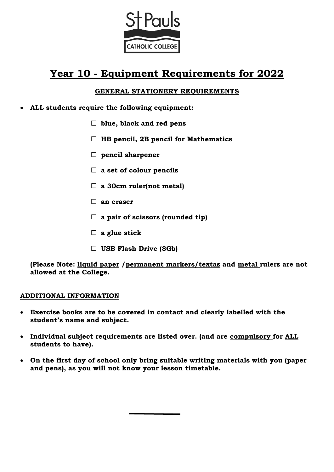

# **Year 10 - Equipment Requirements for 2022**

# **GENERAL STATIONERY REQUIREMENTS**

- **ALL students require the following equipment:**
	- **blue, black and red pens**
	- **HB pencil, 2B pencil for Mathematics**
	- **pencil sharpener**
	- **a set of colour pencils**
	- **a 30cm ruler(not metal)**
	- **an eraser**
	- **a pair of scissors (rounded tip)**
	- **a glue stick**
	- **USB Flash Drive (8Gb)**

**(Please Note: liquid paper /permanent markers/textas and metal rulers are not allowed at the College.** 

#### **ADDITIONAL INFORMATION**

- **Exercise books are to be covered in contact and clearly labelled with the student's name and subject.**
- **Individual subject requirements are listed over. (and are compulsory for ALL students to have).**
- **On the first day of school only bring suitable writing materials with you (paper and pens), as you will not know your lesson timetable.**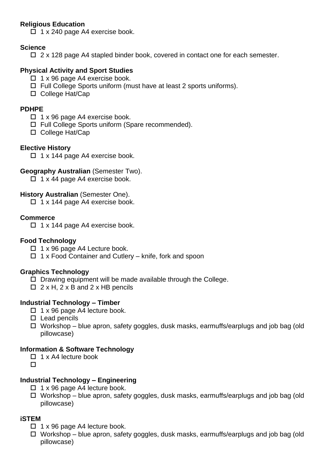## **Religious Education**

 $\Box$  1 x 240 page A4 exercise book.

## **Science**

 $\Box$  2 x 128 page A4 stapled binder book, covered in contact one for each semester.

## **Physical Activity and Sport Studies**

- $\Box$  1 x 96 page A4 exercise book.
- □ Full College Sports uniform (must have at least 2 sports uniforms).
- □ College Hat/Cap

#### **PDHPE**

- $\Box$  1 x 96 page A4 exercise book.
- □ Full College Sports uniform (Spare recommended).
- □ College Hat/Cap

#### **Elective History**

 $\Box$  1 x 144 page A4 exercise book.

#### **Geography Australian** (Semester Two).

 $\Box$  1 x 44 page A4 exercise book.

#### **History Australian** (Semester One).

 $\Box$  1 x 144 page A4 exercise book.

#### **Commerce**

 $\Box$  1 x 144 page A4 exercise book.

#### **Food Technology**

- $\Box$  1 x 96 page A4 Lecture book.
- $\Box$  1 x Food Container and Cutlery knife, fork and spoon

#### **Graphics Technology**

- $\square$  Drawing equipment will be made available through the College.
- $\Box$  2 x H, 2 x B and 2 x HB pencils

# **Industrial Technology – Timber**

- $\Box$  1 x 96 page A4 lecture book.
- $\square$  Lead pencils
- $\Box$  Workshop blue apron, safety goggles, dusk masks, earmuffs/earplugs and job bag (old pillowcase)

#### **Information & Software Technology**

- $\Box$  1 x A4 lecture book
- $\Box$

# **Industrial Technology – Engineering**

- $\Box$  1 x 96 page A4 lecture book.
- $\Box$  Workshop blue apron, safety goggles, dusk masks, earmuffs/earplugs and job bag (old pillowcase)

# **iSTEM**

- $\Box$  1 x 96 page A4 lecture book.
- $\Box$  Workshop blue apron, safety goggles, dusk masks, earmuffs/earplugs and job bag (old pillowcase)